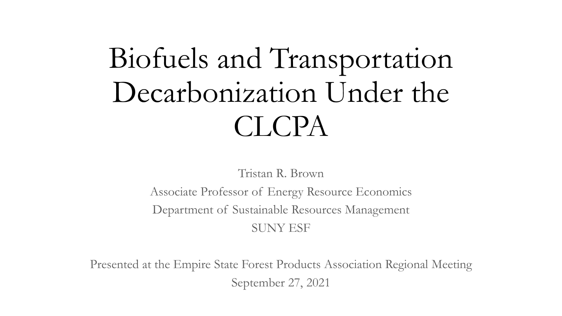# Biofuels and Transportation Decarbonization Under the CLCPA

Tristan R. Brown

Associate Professor of Energy Resource Economics Department of Sustainable Resources Management SUNY ESF

Presented at the Empire State Forest Products Association Regional Meeting September 27, 2021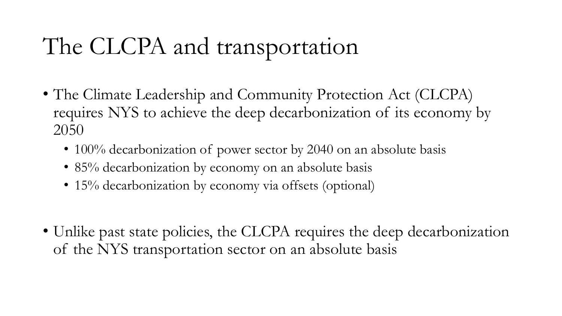# The CLCPA and transportation

- The Climate Leadership and Community Protection Act (CLCPA) requires NYS to achieve the deep decarbonization of its economy by 2050
	- 100% decarbonization of power sector by 2040 on an absolute basis
	- 85% decarbonization by economy on an absolute basis
	- 15% decarbonization by economy via offsets (optional)
- Unlike past state policies, the CLCPA requires the deep decarbonization of the NYS transportation sector on an absolute basis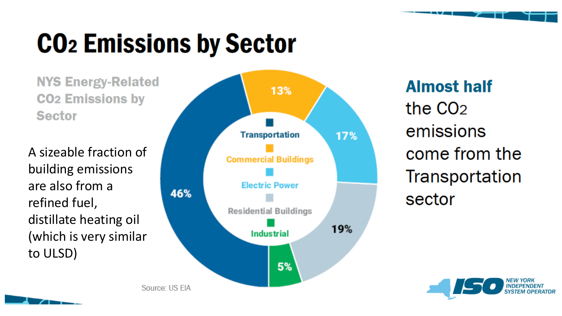# **CO<sub>2</sub> Emissions by Sector**

**NYS Energy-Related CO<sub>2</sub>** Emissions by **Sector** 

A sizeable fraction of building emissions are also from a refined fuel, distillate heating oil (which is very similar to ULSD)



**Almost half** the CO<sub>2</sub> emissions come from the Transportation sector

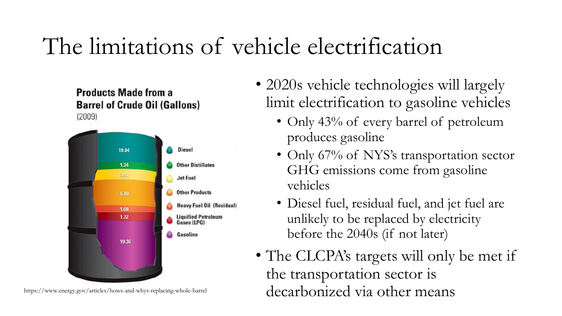## The limitations of vehicle electrification





• 2020s vehicle technologies will largely limit electrification to gasoline vehicles

- Only 43% of every barrel of petroleum produces gasoline
- Only 67% of NYS's transportation sector GHG emissions come from gasoline vehicles
- Diesel fuel, residual fuel, and jet fuel are unlikely to be replaced by electricity before the 2040s (if not later)
- The CLCPA's targets will only be met if the transportation sector is https://www.energy.gov/articles/hows-and-whys-replacing-whole-barrel  $decarbonizeed via other means$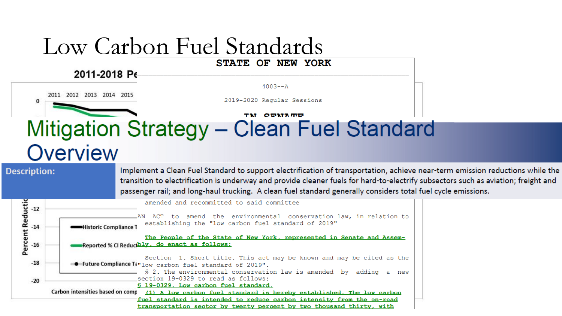#### Low Carbon Fuel Standards STATE OF NEW YORK

2011-2018 Pe

 $4003 - A$ 

2011 2012 2013 2014 2015

2019-2020 Regular Sessions

#### $\bf{0}$

**TM CEMATE** 

#### Mitigation Strategy - Clean Fuel Standard Overview

#### **Description:**

Implement a Clean Fuel Standard to support electrification of transportation, achieve near-term emission reductions while the transition to electrification is underway and provide cleaner fuels for hard-to-electrify subsectors such as aviation; freight and passenger rail; and long-haul trucking. A clean fuel standard generally considers total fuel cycle emissions.

| AN ACT to amend the environmental conservation law, in relation to<br>establishing the "low carbon fuel standard of 2019" |
|---------------------------------------------------------------------------------------------------------------------------|
| The People of the State of New York, represented in Senate and Assem-                                                     |
|                                                                                                                           |
| Section 1. Short title. This act may be known and may be cited as the                                                     |
| $$2.$ The environmental conservation law is amended by adding a new                                                       |
|                                                                                                                           |
| (1) A low carbon fuel standard is hereby established. The low carbon                                                      |
| fuel standard is intended to reduce carbon intensity from the on-road                                                     |
| transportation sector by twenty percent by two thousand thirty, with                                                      |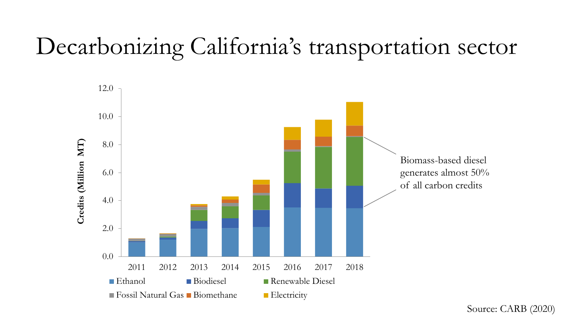## Decarbonizing California's transportation sector



Source: CARB (2020)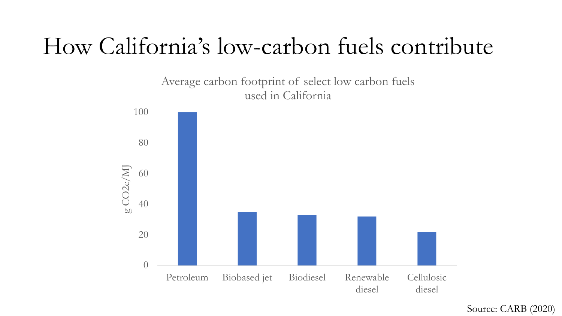### How California's low-carbon fuels contribute

#### Average carbon footprint of select low carbon fuels used in California



Source: CARB (2020)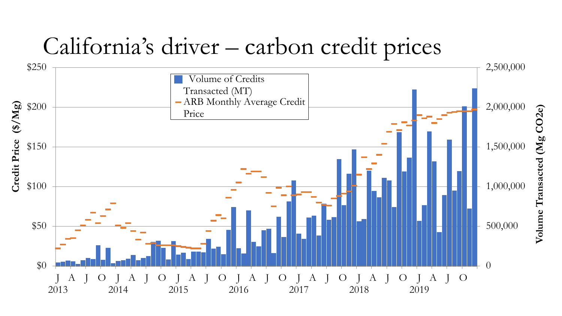### California's driver – carbon credit prices

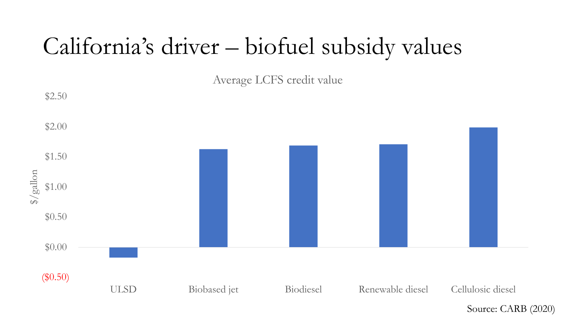### California's driver – biofuel subsidy values

Average LCFS credit value



Source: CARB (2020)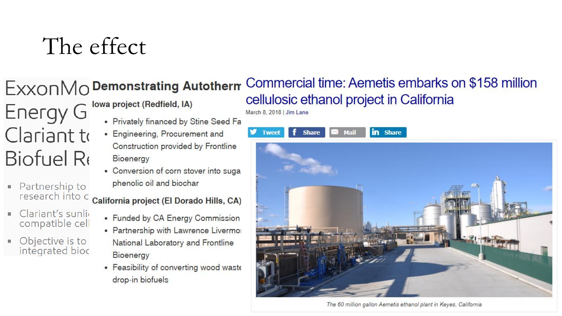## The effect

#### EXXONMO Demonstrating Autotherm

- **Energy G** Clariant to **Biofuel Re**
- Partnership to research into c
- Clariant's sunlig compatible cell
- Objective is to integrated bioc

#### Iowa project (Redfield, IA)

- Privately financed by Stine Seed Fa
- Engineering, Procurement and Construction provided by Frontline Bioenergy
- Conversion of corn stover into suga phenolic oil and biochar

California project (El Dorado Hills, CA)

- Funded by CA Energy Commission
- Partnership with Lawrence Livermo National Laboratory and Frontline Bioenergy
- Feasibility of converting wood waste drop-in biofuels

#### Commercial time: Aemetis embarks on \$158 million cellulosic ethanol project in California

March 8, 2018 | Jim Lane

in Share **Share** Mail **Tweet** 



The 60 million gallon Aemetis ethanol plant in Keyes, California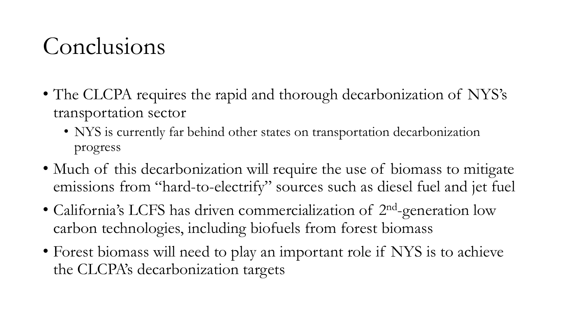### Conclusions

- The CLCPA requires the rapid and thorough decarbonization of NYS's transportation sector
	- NYS is currently far behind other states on transportation decarbonization progress
- Much of this decarbonization will require the use of biomass to mitigate emissions from "hard-to-electrify" sources such as diesel fuel and jet fuel
- California's LCFS has driven commercialization of 2<sup>nd</sup>-generation low carbon technologies, including biofuels from forest biomass
- Forest biomass will need to play an important role if NYS is to achieve the CLCPA's decarbonization targets